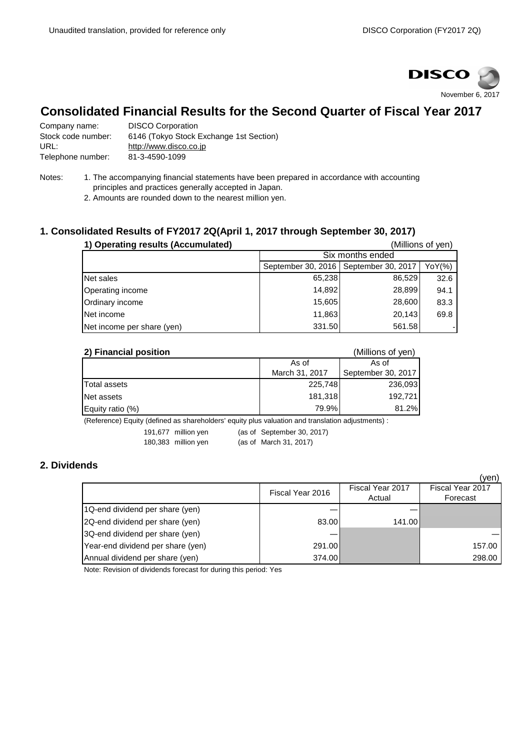

# **Consolidated Financial Results for the Second Quarter of Fiscal Year 2017**

| Company name:      | <b>DISCO Corporation</b>                |
|--------------------|-----------------------------------------|
| Stock code number: | 6146 (Tokyo Stock Exchange 1st Section) |
| URL:               | http://www.disco.co.jp                  |
| Telephone number:  | 81-3-4590-1099                          |

- Notes: 1. The accompanying financial statements have been prepared in accordance with accounting principles and practices generally accepted in Japan.
	- 2. Amounts are rounded down to the nearest million yen.

# **1. Consolidated Results of FY2017 2Q(April 1, 2017 through September 30, 2017)**

| 1) Operating results (Accumulated) |                                                     |        | (Millions of yen) |  |
|------------------------------------|-----------------------------------------------------|--------|-------------------|--|
|                                    | Six months ended                                    |        |                   |  |
|                                    | September 30, 2016   September 30, 2017  <br>YoY(%) |        |                   |  |
| Net sales                          | 65,238                                              | 86,529 | 32.6              |  |
| Operating income                   | 14,892                                              | 28,899 | 94.1              |  |
| Ordinary income                    | 15,605                                              | 28,600 | 83.3              |  |
| Net income                         | 11,863                                              | 20,143 | 69.8              |  |
| Net income per share (yen)         | 331.50                                              | 561.58 |                   |  |

| 2) Financial position |                | (Millions of yen)  |
|-----------------------|----------------|--------------------|
|                       | As of          | As of              |
|                       | March 31, 2017 | September 30, 2017 |
| Total assets          | 225,748        | 236,093            |
| Net assets            | 181,318        | 192.721            |
| Equity ratio $(\%)$   | 79.9%          | 81.2%              |

(Reference) Equity (defined as shareholders' equity plus valuation and translation adjustments) :

191,677 million yen (as of September 30, 2017)

180,383 million yen (as of March 31, 2017)

# **2. Dividends**

|                                   |                  |                            | (ven)                        |
|-----------------------------------|------------------|----------------------------|------------------------------|
|                                   | Fiscal Year 2016 | Fiscal Year 2017<br>Actual | Fiscal Year 2017<br>Forecast |
| 1Q-end dividend per share (yen)   |                  |                            |                              |
| 2Q-end dividend per share (yen)   | 83.00            | 141.00                     |                              |
| 3Q-end dividend per share (yen)   |                  |                            |                              |
| Year-end dividend per share (yen) | 291.00           |                            | 157.00                       |
| Annual dividend per share (yen)   | 374.00           |                            | 298.00                       |

Note: Revision of dividends forecast for during this period: Yes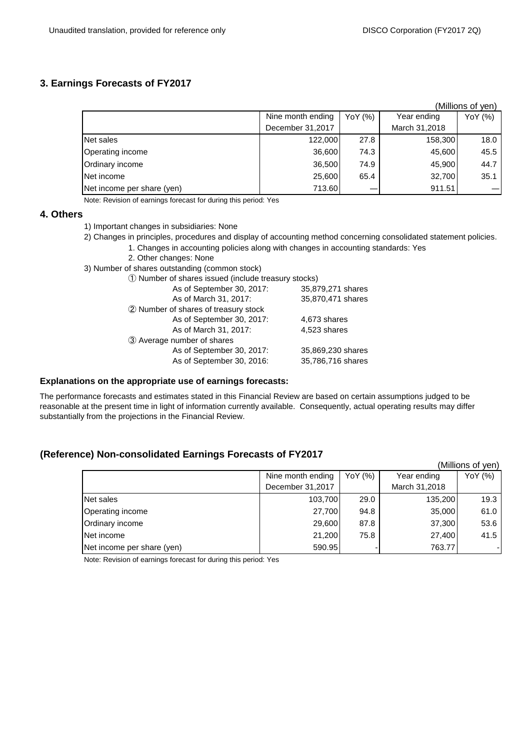### **3. Earnings Forecasts of FY2017**

|                            |                   |         |               | (Millions of yen) |
|----------------------------|-------------------|---------|---------------|-------------------|
|                            | Nine month ending | YoY (%) | Year ending   | YoY (%)           |
|                            | December 31,2017  |         | March 31,2018 |                   |
| Net sales                  | 122,000           | 27.8    | 158,300       | 18.0              |
| Operating income           | 36,600            | 74.3    | 45,600        | 45.5              |
| Ordinary income            | 36,500            | 74.9    | 45,900        | 44.7              |
| Net income                 | 25,600            | 65.4    | 32,700        | 35.1              |
| Net income per share (yen) | 713.60            |         | 911.51        |                   |

Note: Revision of earnings forecast for during this period: Yes

### **4. Others**

- 1) Important changes in subsidiaries: None
- 2) Changes in principles, procedures and display of accounting method concerning consolidated statement policies.
	- 1. Changes in accounting policies along with changes in accounting standards: Yes
	- 2. Other changes: None
- 3) Number of shares outstanding (common stock)
	- ① Number of shares issued (include treasury stocks)

| As of September 30, 2017:            | 35,879,271 shares |
|--------------------------------------|-------------------|
| As of March 31, 2017:                | 35,870,471 shares |
| 2 Number of shares of treasury stock |                   |
| As of September 30, 2017:            | 4,673 shares      |
| As of March 31, 2017:                | 4,523 shares      |
| 3 Average number of shares           |                   |
| As of September 30, 2017:            | 35,869,230 shares |
| As of September 30, 2016:            | 35,786,716 shares |
|                                      |                   |

#### **Explanations on the appropriate use of earnings forecasts:**

The performance forecasts and estimates stated in this Financial Review are based on certain assumptions judged to be reasonable at the present time in light of information currently available. Consequently, actual operating results may differ substantially from the projections in the Financial Review.

## **(Reference) Non-consolidated Earnings Forecasts of FY2017**

|                            |                   |         |               | (Millions of yen) |
|----------------------------|-------------------|---------|---------------|-------------------|
|                            | Nine month ending | YoY (%) | Year ending   | YoY (%)           |
|                            | December 31,2017  |         | March 31,2018 |                   |
| Net sales                  | 103,700           | 29.0    | 135,200       | 19.3              |
| Operating income           | 27,700            | 94.8    | 35,000        | 61.0              |
| Ordinary income            | 29,600            | 87.8    | 37,300        | 53.6              |
| Net income                 | 21,200            | 75.8    | 27,400        | 41.5              |
| Net income per share (yen) | 590.95            |         | 763.77        |                   |

Note: Revision of earnings forecast for during this period: Yes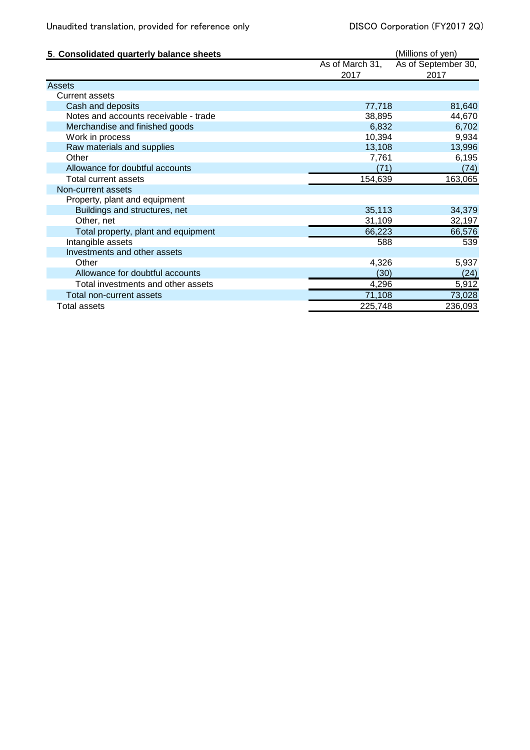| 5. Consolidated quarterly balance sheets |                 | (Millions of yen)   |
|------------------------------------------|-----------------|---------------------|
|                                          | As of March 31, | As of September 30, |
|                                          | 2017            | 2017                |
| Assets                                   |                 |                     |
| <b>Current assets</b>                    |                 |                     |
| Cash and deposits                        | 77,718          | 81,640              |
| Notes and accounts receivable - trade    | 38,895          | 44,670              |
| Merchandise and finished goods           | 6,832           | 6,702               |
| Work in process                          | 10,394          | 9,934               |
| Raw materials and supplies               | 13,108          | 13,996              |
| Other                                    | 7,761           | 6,195               |
| Allowance for doubtful accounts          | (71)            | (74)                |
| Total current assets                     | 154,639         | 163,065             |
| Non-current assets                       |                 |                     |
| Property, plant and equipment            |                 |                     |
| Buildings and structures, net            | 35,113          | 34,379              |
| Other, net                               | 31,109          | 32,197              |
| Total property, plant and equipment      | 66,223          | 66,576              |
| Intangible assets                        | 588             | 539                 |
| Investments and other assets             |                 |                     |
| Other                                    | 4,326           | 5,937               |
| Allowance for doubtful accounts          | (30)            | (24)                |
| Total investments and other assets       | 4,296           | 5,912               |
| Total non-current assets                 | 71,108          | 73,028              |
| <b>Total assets</b>                      | 225,748         | 236,093             |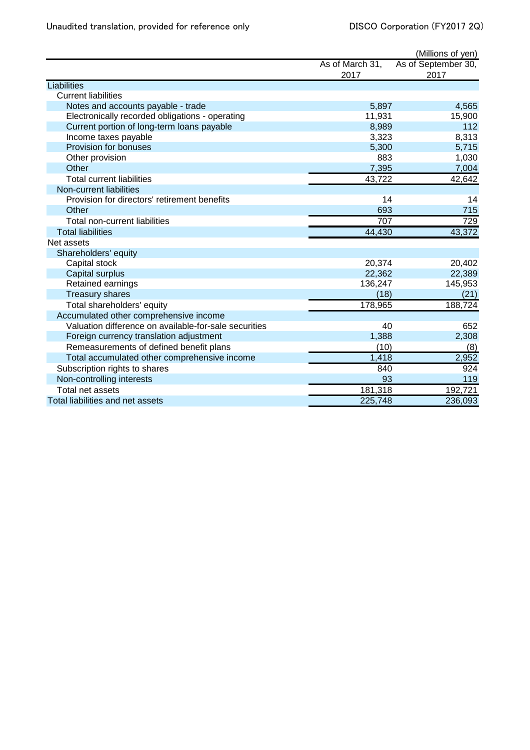| As of March 31,<br>2017<br>2017<br>Liabilities<br><b>Current liabilities</b><br>Notes and accounts payable - trade<br>5,897<br>Electronically recorded obligations - operating<br>11,931<br>Current portion of long-term loans payable<br>8,989<br>Income taxes payable<br>3,323<br>8,313<br>Provision for bonuses<br>5,300<br>5,715<br>883<br>Other provision<br>Other<br>7,395<br><b>Total current liabilities</b><br>43,722<br>Non-current liabilities<br>Provision for directors' retirement benefits<br>14<br>14<br>Other<br>693<br>715<br>707<br><b>Total non-current liabilities</b><br><b>Total liabilities</b><br>44,430<br>Net assets<br>Shareholders' equity<br>Capital stock<br>20,374<br>22,362<br>Capital surplus<br>Retained earnings<br>136,247<br><b>Treasury shares</b><br>(18)<br>178,965<br>Total shareholders' equity<br>Accumulated other comprehensive income<br>Valuation difference on available-for-sale securities<br>40<br>Foreign currency translation adjustment<br>1,388<br>(10)<br>Remeasurements of defined benefit plans<br>(8)<br>Total accumulated other comprehensive income<br>1,418<br>Subscription rights to shares<br>840<br>Non-controlling interests<br>93<br>181,318<br>Total net assets<br>225,748<br>Total liabilities and net assets<br>236,093 |  | (Millions of yen)   |
|------------------------------------------------------------------------------------------------------------------------------------------------------------------------------------------------------------------------------------------------------------------------------------------------------------------------------------------------------------------------------------------------------------------------------------------------------------------------------------------------------------------------------------------------------------------------------------------------------------------------------------------------------------------------------------------------------------------------------------------------------------------------------------------------------------------------------------------------------------------------------------------------------------------------------------------------------------------------------------------------------------------------------------------------------------------------------------------------------------------------------------------------------------------------------------------------------------------------------------------------------------------------------------------------|--|---------------------|
| 4,565<br>15,900<br>112<br>1,030<br>7,004<br>42,642<br>729<br>43,372<br>20,402<br>22,389<br>145,953<br>(21)<br>188,724<br>652<br>2,308<br>2,952<br>924<br>119<br>192,721                                                                                                                                                                                                                                                                                                                                                                                                                                                                                                                                                                                                                                                                                                                                                                                                                                                                                                                                                                                                                                                                                                                        |  | As of September 30, |
|                                                                                                                                                                                                                                                                                                                                                                                                                                                                                                                                                                                                                                                                                                                                                                                                                                                                                                                                                                                                                                                                                                                                                                                                                                                                                                |  |                     |
|                                                                                                                                                                                                                                                                                                                                                                                                                                                                                                                                                                                                                                                                                                                                                                                                                                                                                                                                                                                                                                                                                                                                                                                                                                                                                                |  |                     |
|                                                                                                                                                                                                                                                                                                                                                                                                                                                                                                                                                                                                                                                                                                                                                                                                                                                                                                                                                                                                                                                                                                                                                                                                                                                                                                |  |                     |
|                                                                                                                                                                                                                                                                                                                                                                                                                                                                                                                                                                                                                                                                                                                                                                                                                                                                                                                                                                                                                                                                                                                                                                                                                                                                                                |  |                     |
|                                                                                                                                                                                                                                                                                                                                                                                                                                                                                                                                                                                                                                                                                                                                                                                                                                                                                                                                                                                                                                                                                                                                                                                                                                                                                                |  |                     |
|                                                                                                                                                                                                                                                                                                                                                                                                                                                                                                                                                                                                                                                                                                                                                                                                                                                                                                                                                                                                                                                                                                                                                                                                                                                                                                |  |                     |
|                                                                                                                                                                                                                                                                                                                                                                                                                                                                                                                                                                                                                                                                                                                                                                                                                                                                                                                                                                                                                                                                                                                                                                                                                                                                                                |  |                     |
|                                                                                                                                                                                                                                                                                                                                                                                                                                                                                                                                                                                                                                                                                                                                                                                                                                                                                                                                                                                                                                                                                                                                                                                                                                                                                                |  |                     |
|                                                                                                                                                                                                                                                                                                                                                                                                                                                                                                                                                                                                                                                                                                                                                                                                                                                                                                                                                                                                                                                                                                                                                                                                                                                                                                |  |                     |
|                                                                                                                                                                                                                                                                                                                                                                                                                                                                                                                                                                                                                                                                                                                                                                                                                                                                                                                                                                                                                                                                                                                                                                                                                                                                                                |  |                     |
|                                                                                                                                                                                                                                                                                                                                                                                                                                                                                                                                                                                                                                                                                                                                                                                                                                                                                                                                                                                                                                                                                                                                                                                                                                                                                                |  |                     |
|                                                                                                                                                                                                                                                                                                                                                                                                                                                                                                                                                                                                                                                                                                                                                                                                                                                                                                                                                                                                                                                                                                                                                                                                                                                                                                |  |                     |
|                                                                                                                                                                                                                                                                                                                                                                                                                                                                                                                                                                                                                                                                                                                                                                                                                                                                                                                                                                                                                                                                                                                                                                                                                                                                                                |  |                     |
|                                                                                                                                                                                                                                                                                                                                                                                                                                                                                                                                                                                                                                                                                                                                                                                                                                                                                                                                                                                                                                                                                                                                                                                                                                                                                                |  |                     |
|                                                                                                                                                                                                                                                                                                                                                                                                                                                                                                                                                                                                                                                                                                                                                                                                                                                                                                                                                                                                                                                                                                                                                                                                                                                                                                |  |                     |
|                                                                                                                                                                                                                                                                                                                                                                                                                                                                                                                                                                                                                                                                                                                                                                                                                                                                                                                                                                                                                                                                                                                                                                                                                                                                                                |  |                     |
|                                                                                                                                                                                                                                                                                                                                                                                                                                                                                                                                                                                                                                                                                                                                                                                                                                                                                                                                                                                                                                                                                                                                                                                                                                                                                                |  |                     |
|                                                                                                                                                                                                                                                                                                                                                                                                                                                                                                                                                                                                                                                                                                                                                                                                                                                                                                                                                                                                                                                                                                                                                                                                                                                                                                |  |                     |
|                                                                                                                                                                                                                                                                                                                                                                                                                                                                                                                                                                                                                                                                                                                                                                                                                                                                                                                                                                                                                                                                                                                                                                                                                                                                                                |  |                     |
|                                                                                                                                                                                                                                                                                                                                                                                                                                                                                                                                                                                                                                                                                                                                                                                                                                                                                                                                                                                                                                                                                                                                                                                                                                                                                                |  |                     |
|                                                                                                                                                                                                                                                                                                                                                                                                                                                                                                                                                                                                                                                                                                                                                                                                                                                                                                                                                                                                                                                                                                                                                                                                                                                                                                |  |                     |
|                                                                                                                                                                                                                                                                                                                                                                                                                                                                                                                                                                                                                                                                                                                                                                                                                                                                                                                                                                                                                                                                                                                                                                                                                                                                                                |  |                     |
|                                                                                                                                                                                                                                                                                                                                                                                                                                                                                                                                                                                                                                                                                                                                                                                                                                                                                                                                                                                                                                                                                                                                                                                                                                                                                                |  |                     |
|                                                                                                                                                                                                                                                                                                                                                                                                                                                                                                                                                                                                                                                                                                                                                                                                                                                                                                                                                                                                                                                                                                                                                                                                                                                                                                |  |                     |
|                                                                                                                                                                                                                                                                                                                                                                                                                                                                                                                                                                                                                                                                                                                                                                                                                                                                                                                                                                                                                                                                                                                                                                                                                                                                                                |  |                     |
|                                                                                                                                                                                                                                                                                                                                                                                                                                                                                                                                                                                                                                                                                                                                                                                                                                                                                                                                                                                                                                                                                                                                                                                                                                                                                                |  |                     |
|                                                                                                                                                                                                                                                                                                                                                                                                                                                                                                                                                                                                                                                                                                                                                                                                                                                                                                                                                                                                                                                                                                                                                                                                                                                                                                |  |                     |
|                                                                                                                                                                                                                                                                                                                                                                                                                                                                                                                                                                                                                                                                                                                                                                                                                                                                                                                                                                                                                                                                                                                                                                                                                                                                                                |  |                     |
|                                                                                                                                                                                                                                                                                                                                                                                                                                                                                                                                                                                                                                                                                                                                                                                                                                                                                                                                                                                                                                                                                                                                                                                                                                                                                                |  |                     |
|                                                                                                                                                                                                                                                                                                                                                                                                                                                                                                                                                                                                                                                                                                                                                                                                                                                                                                                                                                                                                                                                                                                                                                                                                                                                                                |  |                     |
|                                                                                                                                                                                                                                                                                                                                                                                                                                                                                                                                                                                                                                                                                                                                                                                                                                                                                                                                                                                                                                                                                                                                                                                                                                                                                                |  |                     |
|                                                                                                                                                                                                                                                                                                                                                                                                                                                                                                                                                                                                                                                                                                                                                                                                                                                                                                                                                                                                                                                                                                                                                                                                                                                                                                |  |                     |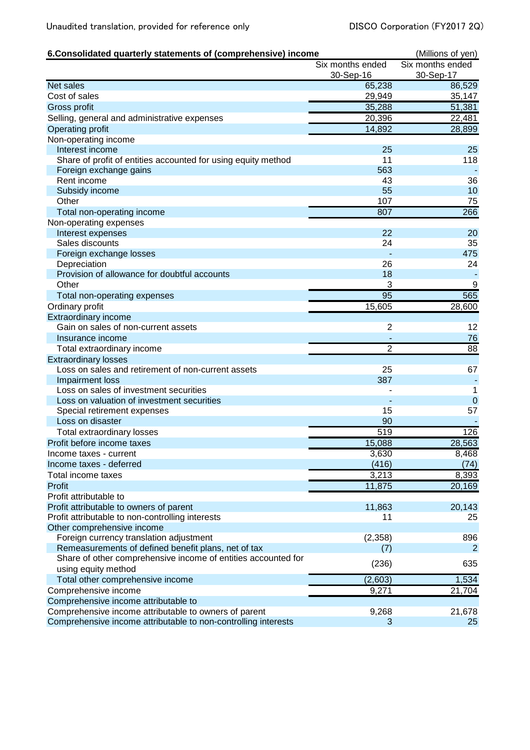| 6. Consolidated quarterly statements of (comprehensive) income                    | (Millions of yen) |                  |
|-----------------------------------------------------------------------------------|-------------------|------------------|
|                                                                                   | Six months ended  | Six months ended |
|                                                                                   | 30-Sep-16         | 30-Sep-17        |
| <b>Net sales</b>                                                                  | 65,238            | 86,529           |
| Cost of sales                                                                     | 29,949            | 35,147           |
| Gross profit                                                                      | 35,288            | 51,381           |
| Selling, general and administrative expenses                                      | 20,396            | 22,481           |
| Operating profit                                                                  | 14,892            | 28,899           |
| Non-operating income                                                              |                   |                  |
| Interest income                                                                   | 25                | 25               |
| Share of profit of entities accounted for using equity method                     | 11                | 118              |
| Foreign exchange gains                                                            | 563               |                  |
| Rent income                                                                       | 43                | 36               |
| Subsidy income                                                                    | 55                | 10               |
| Other                                                                             | 107               | 75               |
| Total non-operating income                                                        | 807               | 266              |
| Non-operating expenses                                                            |                   |                  |
| Interest expenses                                                                 | 22                | 20               |
| Sales discounts                                                                   | 24                | 35               |
| Foreign exchange losses                                                           |                   | 475              |
| Depreciation<br>Provision of allowance for doubtful accounts                      | 26<br>18          | 24               |
|                                                                                   |                   |                  |
| Other                                                                             | 3                 | 9                |
| Total non-operating expenses                                                      | 95                | 565              |
| Ordinary profit                                                                   | 15,605            | 28,600           |
| Extraordinary income                                                              |                   |                  |
| Gain on sales of non-current assets                                               | $\overline{2}$    | 12               |
| Insurance income                                                                  |                   | 76               |
| Total extraordinary income                                                        | $\overline{2}$    | $\overline{88}$  |
| <b>Extraordinary losses</b><br>Loss on sales and retirement of non-current assets |                   | 67               |
|                                                                                   | 25<br>387         |                  |
| Impairment loss<br>Loss on sales of investment securities                         |                   | 1                |
| Loss on valuation of investment securities                                        |                   | $\mathbf 0$      |
| Special retirement expenses                                                       | 15                | 57               |
| Loss on disaster                                                                  | 90                |                  |
| <b>Total extraordinary losses</b>                                                 | 519               | 126              |
| Profit before income taxes                                                        | 15,088            | 28,563           |
|                                                                                   | 3,630             |                  |
| Income taxes - current<br>Income taxes - deferred                                 | (416)             | 8,468<br>(74)    |
| Total income taxes                                                                | 3,213             | 8,393            |
| Profit                                                                            |                   |                  |
| Profit attributable to                                                            | 11,875            | 20,169           |
| Profit attributable to owners of parent                                           |                   | 20,143           |
| Profit attributable to non-controlling interests                                  | 11,863<br>11      | 25               |
| Other comprehensive income                                                        |                   |                  |
| Foreign currency translation adjustment                                           | (2,358)           | 896              |
| Remeasurements of defined benefit plans, net of tax                               | (7)               | 2                |
| Share of other comprehensive income of entities accounted for                     |                   |                  |
| using equity method                                                               | (236)             | 635              |
| Total other comprehensive income                                                  | (2,603)           | 1,534            |
| Comprehensive income                                                              | 9,271             | 21,704           |
| Comprehensive income attributable to                                              |                   |                  |
| Comprehensive income attributable to owners of parent                             | 9,268             | 21,678           |
| Comprehensive income attributable to non-controlling interests                    | 3                 | 25               |
|                                                                                   |                   |                  |